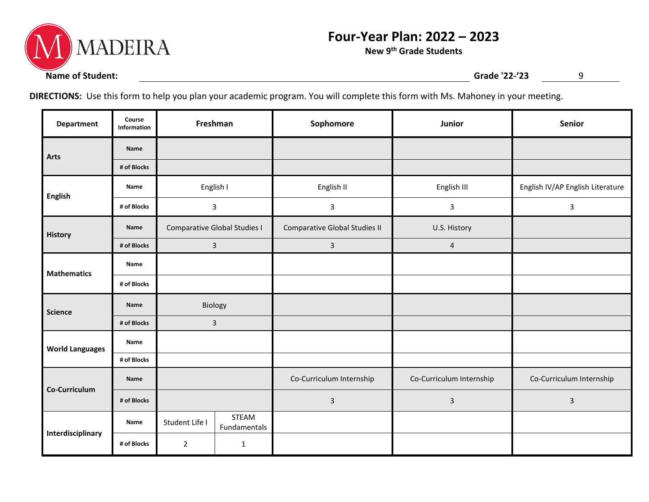

## **Four-Year Plan: 2022 – 2023**

**New 9th Grade Students**

**DIRECTIONS:** Use this form to help you plan your academic program. You will complete this form with Ms. Mahoney in your meeting.

| <b>Department</b>      | Course<br>Information | Freshman                     |                       | Sophomore                     | Junior                   | Senior                           |
|------------------------|-----------------------|------------------------------|-----------------------|-------------------------------|--------------------------|----------------------------------|
| <b>Arts</b>            | Name                  |                              |                       |                               |                          |                                  |
|                        | # of Blocks           |                              |                       |                               |                          |                                  |
| <b>English</b>         | Name                  | English I                    |                       | English II                    | English III              | English IV/AP English Literature |
|                        | # of Blocks           | $\mathbf{3}$                 |                       | $\mathbf{3}$                  | $\mathbf{3}$             | $\mathbf{3}$                     |
| <b>History</b>         | Name                  | Comparative Global Studies I |                       | Comparative Global Studies II | U.S. History             |                                  |
|                        | # of Blocks           | 3                            |                       | $\overline{3}$                | $\overline{4}$           |                                  |
| <b>Mathematics</b>     | Name                  |                              |                       |                               |                          |                                  |
|                        | # of Blocks           |                              |                       |                               |                          |                                  |
| <b>Science</b>         | Name                  | Biology                      |                       |                               |                          |                                  |
|                        | # of Blocks           | 3                            |                       |                               |                          |                                  |
| <b>World Languages</b> | Name                  |                              |                       |                               |                          |                                  |
|                        | # of Blocks           |                              |                       |                               |                          |                                  |
| Co-Curriculum          | Name                  |                              |                       | Co-Curriculum Internship      | Co-Curriculum Internship | Co-Curriculum Internship         |
|                        | # of Blocks           |                              |                       | $\mathbf{3}$                  | $\mathsf{3}$             | $\mathsf{3}$                     |
| Interdisciplinary      | Name                  | Student Life I               | STEAM<br>Fundamentals |                               |                          |                                  |
|                        | # of Blocks           | $\overline{2}$               | $\mathbf{1}$          |                               |                          |                                  |